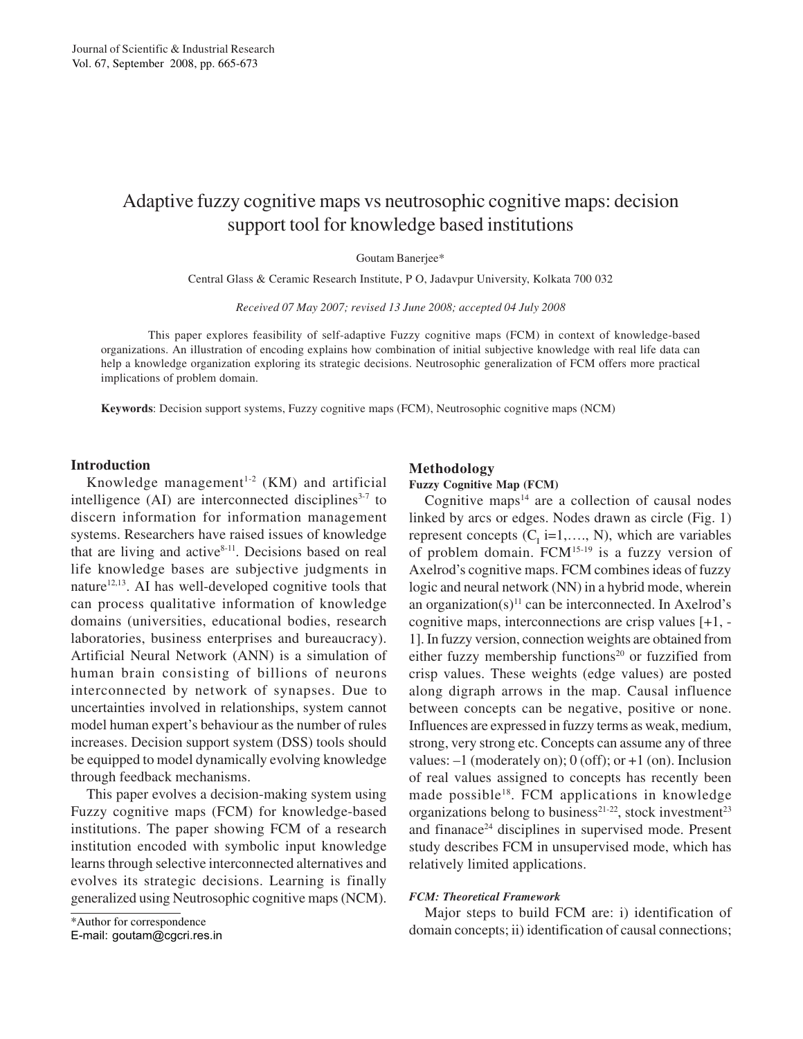# Adaptive fuzzy cognitive maps vs neutrosophic cognitive maps: decision support tool for knowledge based institutions

Goutam Banerjee\*

Central Glass & Ceramic Research Institute, P O, Jadavpur University, Kolkata 700 032

*Received 07 May 2007; revised 13 June 2008; accepted 04 July 2008*

This paper explores feasibility of self-adaptive Fuzzy cognitive maps (FCM) in context of knowledge-based organizations. An illustration of encoding explains how combination of initial subjective knowledge with real life data can help a knowledge organization exploring its strategic decisions. Neutrosophic generalization of FCM offers more practical implications of problem domain.

**Keywords**: Decision support systems, Fuzzy cognitive maps (FCM), Neutrosophic cognitive maps (NCM)

# **Introduction**

Knowledge management<sup>1-2</sup> (KM) and artificial intelligence  $(AI)$  are interconnected disciplines<sup>3-7</sup> to discern information for information management systems. Researchers have raised issues of knowledge that are living and active<sup>8-11</sup>. Decisions based on real life knowledge bases are subjective judgments in nature<sup>12,13</sup>. AI has well-developed cognitive tools that can process qualitative information of knowledge domains (universities, educational bodies, research laboratories, business enterprises and bureaucracy). Artificial Neural Network (ANN) is a simulation of human brain consisting of billions of neurons interconnected by network of synapses. Due to uncertainties involved in relationships, system cannot model human expert's behaviour as the number of rules increases. Decision support system (DSS) tools should be equipped to model dynamically evolving knowledge through feedback mechanisms.

This paper evolves a decision-making system using Fuzzy cognitive maps (FCM) for knowledge-based institutions. The paper showing FCM of a research institution encoded with symbolic input knowledge learns through selective interconnected alternatives and evolves its strategic decisions. Learning is finally generalized using Neutrosophic cognitive maps (NCM).

## **Methodology**

# **Fuzzy Cognitive Map (FCM)**

Cognitive maps $14$  are a collection of causal nodes linked by arcs or edges. Nodes drawn as circle (Fig. 1) represent concepts  $(C_i$  i=1,..., N), which are variables of problem domain. FCM15-19 is a fuzzy version of Axelrod's cognitive maps. FCM combines ideas of fuzzy logic and neural network (NN) in a hybrid mode, wherein an organization $(s)^{11}$  can be interconnected. In Axelrod's cognitive maps, interconnections are crisp values [+1, - 1]. In fuzzy version, connection weights are obtained from either fuzzy membership functions<sup>20</sup> or fuzzified from crisp values. These weights (edge values) are posted along digraph arrows in the map. Causal influence between concepts can be negative, positive or none. Influences are expressed in fuzzy terms as weak, medium, strong, very strong etc. Concepts can assume any of three values:  $-1$  (moderately on); 0 (off); or  $+1$  (on). Inclusion of real values assigned to concepts has recently been made possible<sup>18</sup>. FCM applications in knowledge organizations belong to business<sup>21-22</sup>, stock investment<sup>23</sup> and finanace<sup>24</sup> disciplines in supervised mode. Present study describes FCM in unsupervised mode, which has relatively limited applications.

### *FCM: Theoretical Framework*

Major steps to build FCM are: i) identification of domain concepts; ii) identification of causal connections;

<sup>\*</sup>Author for correspondence

E-mail: goutam@cgcri.res.in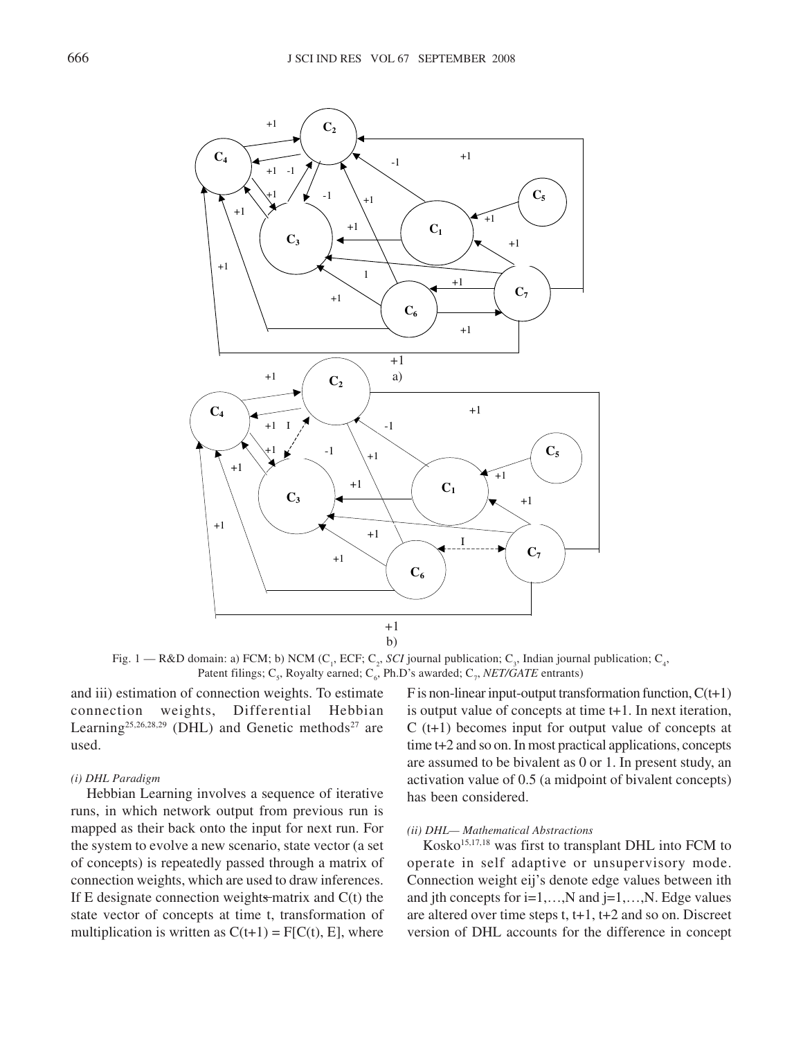

Fig. 1 – R&D domain: a) FCM; b) NCM ( $C_1$ , ECF;  $C_2$ , *SCI* journal publication;  $C_3$ , Indian journal publication;  $C_4$ , Patent filings; C<sub>5</sub>, Royalty earned; C<sub>6</sub>, Ph.D's awarded; C<sub>7</sub>, *NET/GATE* entrants)

and iii) estimation of connection weights. To estimate connection weights, Differential Hebbian Learning<sup>25,26,28,29</sup> (DHL) and Genetic methods<sup>27</sup> are used.

# *(i) DHL Paradigm*

Hebbian Learning involves a sequence of iterative runs, in which network output from previous run is mapped as their back onto the input for next run. For the system to evolve a new scenario, state vector (a set of concepts) is repeatedly passed through a matrix of connection weights, which are used to draw inferences. If E designate connection weights matrix and  $C(t)$  the state vector of concepts at time t, transformation of multiplication is written as  $C(t+1) = F[C(t), E]$ , where

F is non-linear input-output transformation function,  $C(t+1)$ is output value of concepts at time t+1. In next iteration, C (t+1) becomes input for output value of concepts at time t+2 and so on. In most practical applications, concepts are assumed to be bivalent as 0 or 1. In present study, an activation value of 0.5 (a midpoint of bivalent concepts) has been considered.

# *(ii) DHL— Mathematical Abstractions*

 $Kosko<sup>15,17,18</sup>$  was first to transplant DHL into FCM to operate in self adaptive or unsupervisory mode. Connection weight eij's denote edge values between ith and jth concepts for  $i=1,...,N$  and  $j=1,...,N$ . Edge values are altered over time steps t, t+1, t+2 and so on. Discreet version of DHL accounts for the difference in concept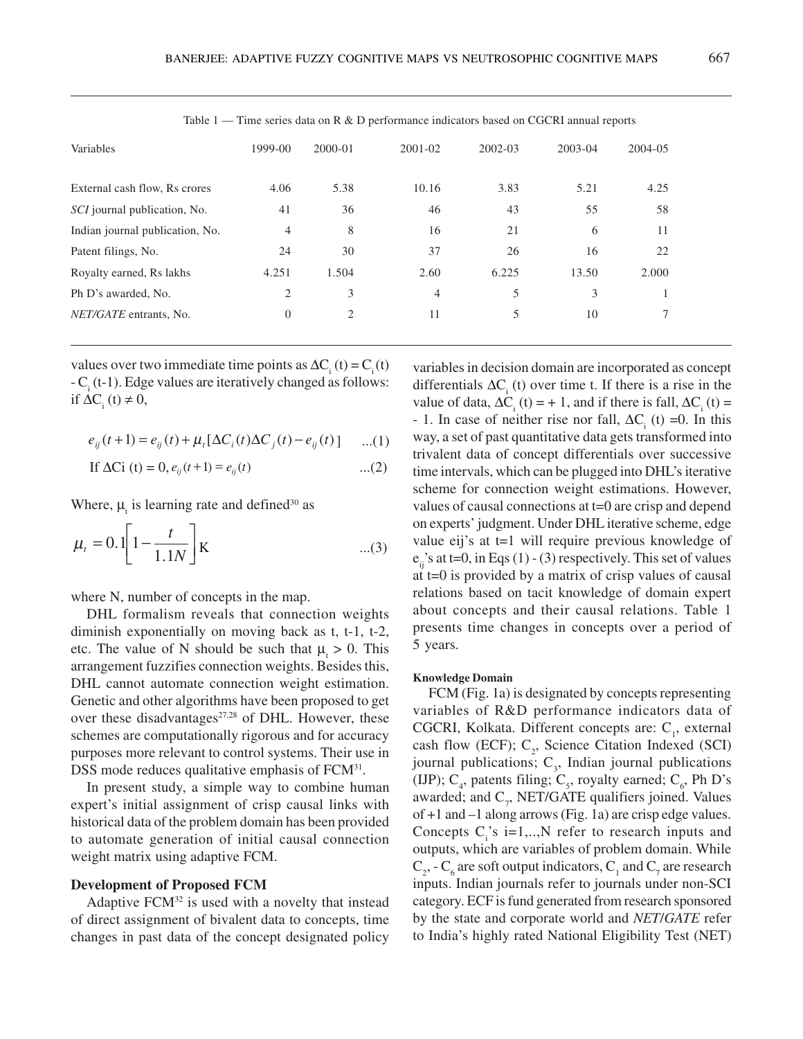| Variables                           | 1999-00        | $2000 - 01$ | 2001-02        | $2002 - 03$ | $2003 - 04$ | 2004-05 |  |
|-------------------------------------|----------------|-------------|----------------|-------------|-------------|---------|--|
| External cash flow, Rs crores       | 4.06           | 5.38        | 10.16          | 3.83        | 5.21        | 4.25    |  |
| <i>SCI</i> journal publication, No. | 41             | 36          | 46             | 43          | 55          | 58      |  |
| Indian journal publication, No.     | $\overline{4}$ | 8           | 16             | 21          | 6           | 11      |  |
| Patent filings, No.                 | 24             | 30          | 37             | 26          | 16          | 22      |  |
| Royalty earned, Rs lakhs            | 4.251          | 1.504       | 2.60           | 6.225       | 13.50       | 2.000   |  |
| Ph D's awarded, No.                 | 2              | 3           | $\overline{4}$ | 5           | 3           |         |  |
| NET/GATE entrants, No.              | $\theta$       | 2           | 11             | 5           | 10          | 7       |  |

Table  $1 -$  Time series data on R & D performance indicators based on CGCRI annual reports

values over two immediate time points as  $\Delta C_i(t) = C_i(t)$  $-C<sub>i</sub>$  (t-1). Edge values are iteratively changed as follows: if  $\Delta C$ <sub>i</sub> (t) ≠ 0,

$$
e_{ij}(t+1) = e_{ij}(t) + \mu_t [\Delta C_i(t) \Delta C_j(t) - e_{ij}(t)] \quad ...(1)
$$

If 
$$
\Delta Ci(t) = 0
$$
,  $e_{ij}(t+1) = e_{ij}(t)$  ...(2)

Where,  $\mu_t$  is learning rate and defined<sup>30</sup> as

$$
\mu_t = 0.\left[1 - \frac{t}{1.1N}\right]K \tag{3}
$$

where N, number of concepts in the map.

DHL formalism reveals that connection weights diminish exponentially on moving back as t, t-1, t-2, etc. The value of N should be such that  $\mu_t > 0$ . This arrangement fuzzifies connection weights. Besides this, DHL cannot automate connection weight estimation. Genetic and other algorithms have been proposed to get over these disadvantages<sup>27,28</sup> of DHL. However, these schemes are computationally rigorous and for accuracy purposes more relevant to control systems. Their use in DSS mode reduces qualitative emphasis of FCM<sup>31</sup>.

In present study, a simple way to combine human expert's initial assignment of crisp causal links with historical data of the problem domain has been provided to automate generation of initial causal connection weight matrix using adaptive FCM.

### **Development of Proposed FCM**

Adaptive  $FCM<sup>32</sup>$  is used with a novelty that instead of direct assignment of bivalent data to concepts, time changes in past data of the concept designated policy variables in decision domain are incorporated as concept differentials  $\Delta C_i$  (t) over time t. If there is a rise in the value of data,  $\Delta C_i$  (t) = + 1, and if there is fall,  $\Delta C_i$  (t) = - 1. In case of neither rise nor fall,  $\Delta C_i$  (t) =0. In this way, a set of past quantitative data gets transformed into trivalent data of concept differentials over successive time intervals, which can be plugged into DHL's iterative scheme for connection weight estimations. However, values of causal connections at t=0 are crisp and depend on experts' judgment. Under DHL iterative scheme, edge value eij's at t=1 will require previous knowledge of  $e_{ij}$ 's at t=0, in Eqs (1) - (3) respectively. This set of values at t=0 is provided by a matrix of crisp values of causal relations based on tacit knowledge of domain expert about concepts and their causal relations. Table 1 presents time changes in concepts over a period of 5 years.

#### **Knowledge Domain**

FCM (Fig. 1a) is designated by concepts representing variables of R&D performance indicators data of CGCRI, Kolkata. Different concepts are:  $C_i$ , external cash flow (ECF);  $C_2$ , Science Citation Indexed (SCI) journal publications;  $C_3$ , Indian journal publications (IJP);  $C_4$ , patents filing;  $C_5$ , royalty earned;  $C_6$ , Ph D's awarded; and  $C_7$ , NET/GATE qualifiers joined. Values of +1 and –1 along arrows (Fig. 1a) are crisp edge values. Concepts  $C_i$ 's i=1,..,N refer to research inputs and outputs, which are variables of problem domain. While  $C_2$ , -  $C_6$  are soft output indicators,  $C_1$  and  $C_7$  are research inputs. Indian journals refer to journals under non-SCI category. ECF is fund generated from research sponsored by the state and corporate world and *NET*/*GATE* refer to India's highly rated National Eligibility Test (NET)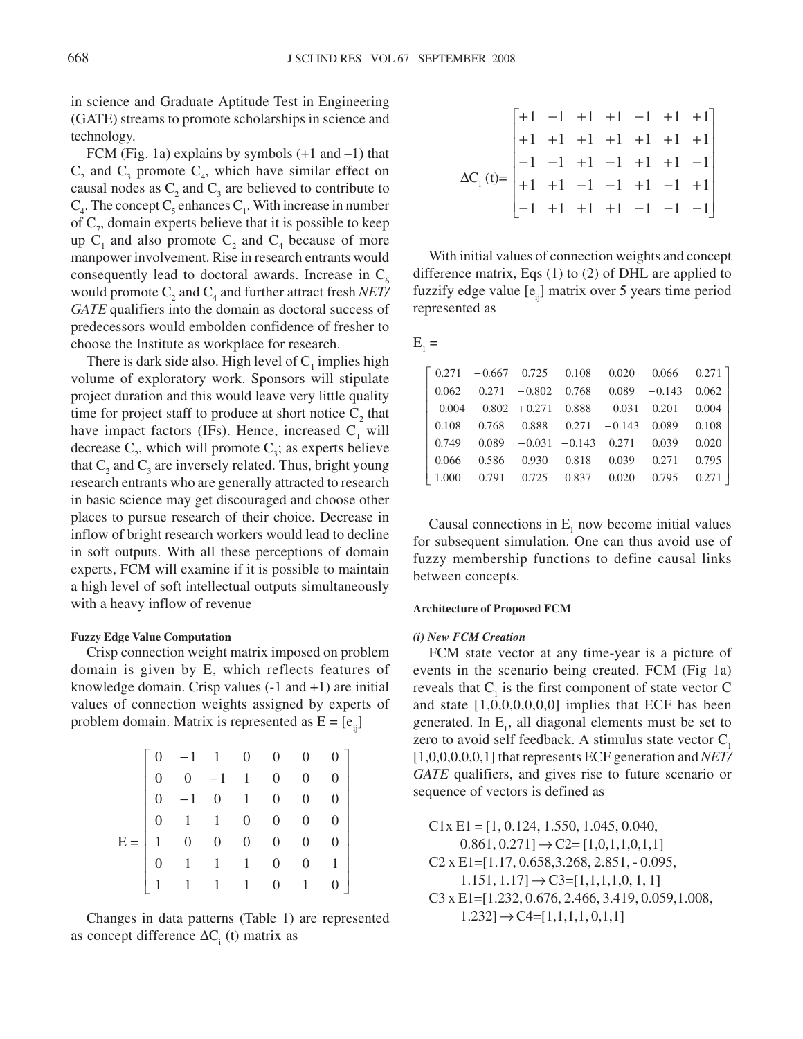in science and Graduate Aptitude Test in Engineering (GATE) streams to promote scholarships in science and technology.

FCM (Fig. 1a) explains by symbols  $(+1 \text{ and } -1)$  that  $C_2$  and  $C_3$  promote  $C_4$ , which have similar effect on causal nodes as  $C_2$  and  $C_3$  are believed to contribute to  $C_4$ . The concept  $C_5$  enhances  $C_1$ . With increase in number of  $C_7$ , domain experts believe that it is possible to keep up  $C_1$  and also promote  $C_2$  and  $C_4$  because of more manpower involvement. Rise in research entrants would consequently lead to doctoral awards. Increase in  $C_6$ would promote  $C_2$  and  $C_4$  and further attract fresh *NET/ GATE* qualifiers into the domain as doctoral success of predecessors would embolden confidence of fresher to choose the Institute as workplace for research.

There is dark side also. High level of  $C<sub>1</sub>$  implies high volume of exploratory work. Sponsors will stipulate project duration and this would leave very little quality time for project staff to produce at short notice  $C_2$  that have impact factors (IFs). Hence, increased  $C<sub>1</sub>$  will decrease  $C_2$ , which will promote  $C_3$ ; as experts believe that  $C_2$  and  $C_3$  are inversely related. Thus, bright young research entrants who are generally attracted to research in basic science may get discouraged and choose other places to pursue research of their choice. Decrease in inflow of bright research workers would lead to decline in soft outputs. With all these perceptions of domain experts, FCM will examine if it is possible to maintain a high level of soft intellectual outputs simultaneously with a heavy inflow of revenue

### **Fuzzy Edge Value Computation**

Crisp connection weight matrix imposed on problem domain is given by E, which reflects features of knowledge domain. Crisp values (-1 and +1) are initial values of connection weights assigned by experts of problem domain. Matrix is represented as  $E = [e_{ij}]$ 

|  | $\begin{array}{ccccccccc} & & & 1 & 1 & 0 & 0 & 0 & 0 \\ & & 0 & -1 & 1 & 0 & 0 \\ & & -1 & 0 & 1 & 0 & 0 \\ & & 0 & 1 & 1 & 0 & 0 \\ & & 1 & 0 & 0 & 0 & 0 \\ & & 0 & 1 & 1 & 1 & 0 \\ & & & & & 1 & 1 & 1 \\ \end{array}$ |  |  |  |
|--|-----------------------------------------------------------------------------------------------------------------------------------------------------------------------------------------------------------------------------|--|--|--|

Changes in data patterns (Table 1) are represented as concept difference  $\Delta C_i$  (t) matrix as

$$
\Delta C_{i}(t) = \begin{bmatrix}\n+1 & -1 & +1 & +1 & -1 & +1 & +1 \\
+1 & +1 & +1 & +1 & +1 & +1 & +1 \\
-1 & -1 & +1 & -1 & +1 & +1 & -1 \\
+1 & +1 & -1 & -1 & +1 & -1 & +1 \\
-1 & +1 & +1 & +1 & -1 & -1 & -1\n\end{bmatrix}
$$

With initial values of connection weights and concept difference matrix, Eqs (1) to (2) of DHL are applied to fuzzify edge value  $[e_{ii}]$  matrix over 5 years time period represented as

$$
E_1 =
$$

|  |  |  | $\begin{bmatrix} 0.271 & -0.667 & 0.725 & 0.108 & 0.020 & 0.066 & 0.271 \end{bmatrix}$  |  |
|--|--|--|-----------------------------------------------------------------------------------------|--|
|  |  |  | $\begin{bmatrix} 0.062 & 0.271 & -0.802 & 0.768 & 0.089 & -0.143 & 0.062 \end{bmatrix}$ |  |
|  |  |  | $-0.004$ $-0.802$ $+0.271$ $0.888$ $-0.031$ $0.201$ $0.004$                             |  |
|  |  |  |                                                                                         |  |
|  |  |  | $\begin{bmatrix} 0.749 & 0.089 & -0.031 & -0.143 & 0.271 & 0.039 & 0.020 \end{bmatrix}$ |  |
|  |  |  |                                                                                         |  |
|  |  |  | $\begin{bmatrix} 1.000 & 0.791 & 0.725 & 0.837 & 0.020 & 0.795 & 0.271 \end{bmatrix}$   |  |

Causal connections in  $E_1$  now become initial values for subsequent simulation. One can thus avoid use of fuzzy membership functions to define causal links between concepts.

#### **Architecture of Proposed FCM**

#### *(i) New FCM Creation*

FCM state vector at any time-year is a picture of events in the scenario being created. FCM (Fig 1a) reveals that  $C_1$  is the first component of state vector C and state [1,0,0,0,0,0,0] implies that ECF has been generated. In  $E_i$ , all diagonal elements must be set to zero to avoid self feedback. A stimulus state vector  $C<sub>1</sub>$ [1,0,0,0,0,0,1] that represents ECF generation and *NET/ GATE* qualifiers, and gives rise to future scenario or sequence of vectors is defined as

 $C1x E1 = [1, 0.124, 1.550, 1.045, 0.040,$  $0.861, 0.271] \rightarrow C2 = [1, 0, 1, 1, 0, 1, 1]$ C2 x E1=[1.17, 0.658,3.268, 2.851, - 0.095,  $1.151, 1.17$ ]  $\rightarrow$  C3=[1,1,1,1,0, 1, 1] C3 x E1=[1.232, 0.676, 2.466, 3.419, 0.059,1.008,  $1.232$ ]  $\rightarrow$  C4=[1,1,1,1,0,1,1]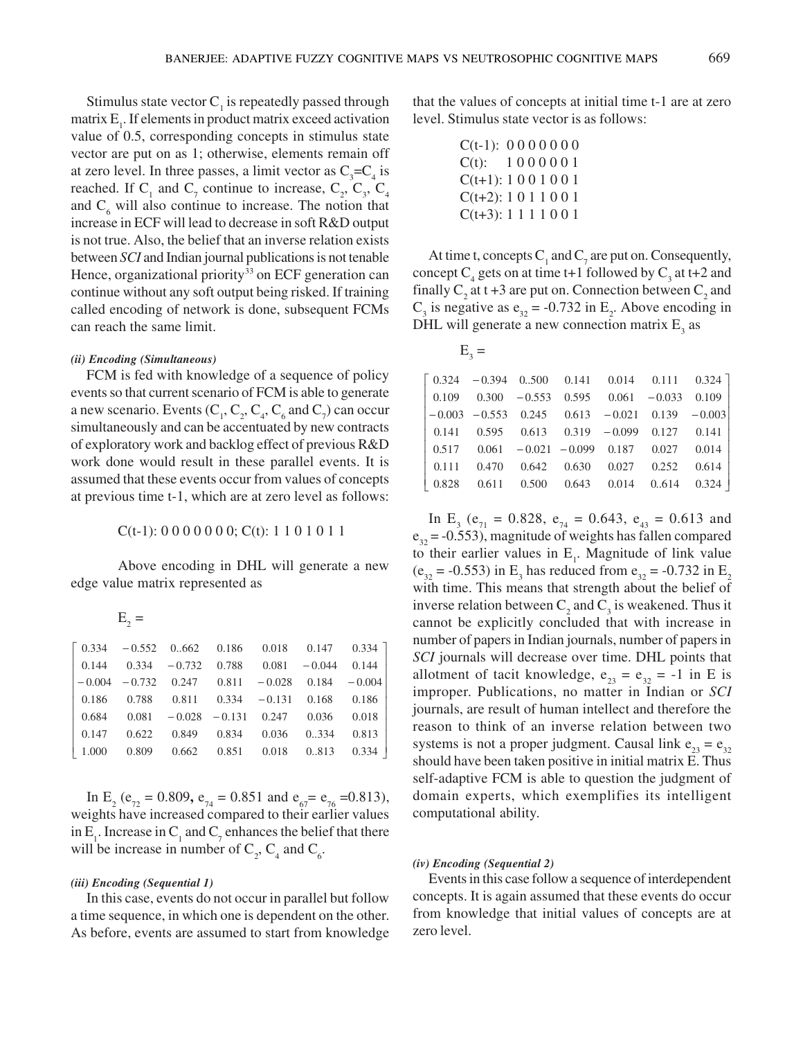Stimulus state vector  $C_1$  is repeatedly passed through matrix  $E_i$ . If elements in product matrix exceed activation value of 0.5, corresponding concepts in stimulus state vector are put on as 1; otherwise, elements remain off at zero level. In three passes, a limit vector as  $C_3 = C_4$  is reached. If  $C_1$  and  $C_7$  continue to increase,  $C_2$ ,  $C_3$ ,  $C_4$ and  $C_6$  will also continue to increase. The notion that increase in ECF will lead to decrease in soft R&D output is not true. Also, the belief that an inverse relation exists between *SCI* and Indian journal publications is not tenable Hence, organizational priority<sup>33</sup> on ECF generation can continue without any soft output being risked. If training called encoding of network is done, subsequent FCMs can reach the same limit.

### *(ii) Encoding (Simultaneous)*

FCM is fed with knowledge of a sequence of policy events so that current scenario of FCM is able to generate a new scenario. Events  $(C_1, C_2, C_4, C_6$  and  $C_7)$  can occur simultaneously and can be accentuated by new contracts of exploratory work and backlog effect of previous R&D work done would result in these parallel events. It is assumed that these events occur from values of concepts at previous time t-1, which are at zero level as follows:

 $C(t-1)$ : 0 0 0 0 0 0 0;  $C(t)$ : 1 1 0 1 0 1 1

Above encoding in DHL will generate a new edge value matrix represented as

| _ |
|---|
|   |
|   |

|  |  | $\begin{bmatrix} 0.334 & -0.552 & 0.662 & 0.186 & 0.018 & 0.147 & 0.334 \end{bmatrix}$      |  |
|--|--|---------------------------------------------------------------------------------------------|--|
|  |  | $\begin{array}{cccccc} 0.144 & 0.334 & -0.732 & 0.788 & 0.081 & -0.044 & 0.144 \end{array}$ |  |
|  |  | $-0.004$ $-0.732$ 0.247 0.811 $-0.028$ 0.184 $-0.004$                                       |  |
|  |  | $\begin{array}{cccccc} 0.186 & 0.788 & 0.811 & 0.334 & -0.131 & 0.168 & 0.186 \end{array}$  |  |
|  |  | $0.684$ $0.081$ $-0.028$ $-0.131$ $0.247$ $0.036$ $0.018$                                   |  |
|  |  | $\begin{array}{cccccc} 0.147 & 0.622 & 0.849 & 0.834 & 0.036 & 0.334 & 0.813 \end{array}$   |  |
|  |  | $\begin{array}{ rrrrrr} 1.000 & 0.809 & 0.662 & 0.851 & 0.018 & 0.813 & 0.334 \end{array}$  |  |

In E<sub>2</sub> ( $e_{72} = 0.809$ ,  $e_{74} = 0.851$  and  $e_{67} = e_{76} = 0.813$ ), weights have increased compared to their earlier values in  $E_1$ . Increase in  $C_1$  and  $C_7$  enhances the belief that there will be increase in number of  $C_2$ ,  $C_4$  and  $C_6$ .

#### *(iii) Encoding (Sequential 1)*

In this case, events do not occur in parallel but follow a time sequence, in which one is dependent on the other. As before, events are assumed to start from knowledge that the values of concepts at initial time t-1 are at zero level. Stimulus state vector is as follows:

| $C(t-1)$ : 0000000       |  |  |  |  |
|--------------------------|--|--|--|--|
| $C(t)$ : 1000001         |  |  |  |  |
| $C(t+1)$ : 1001001       |  |  |  |  |
| $C(t+2)$ : 1 0 1 1 0 0 1 |  |  |  |  |
| $C(t+3): 1 1 1 1 0 0 1$  |  |  |  |  |

At time t, concepts  $C_1$  and  $C_7$  are put on. Consequently, concept  $C_4$  gets on at time t+1 followed by  $C_3$  at t+2 and finally  $C_2$  at t +3 are put on. Connection between  $C_2$  and  $C_3$  is negative as  $e_{32} = -0.732$  in  $E_2$ . Above encoding in DHL will generate a new connection matrix  $E_3$  as

| $\begin{bmatrix} 0.324 & -0.394 & 0.500 & 0.141 & 0.014 & 0.111 & 0.324 \end{bmatrix}$           |  |  |  |
|--------------------------------------------------------------------------------------------------|--|--|--|
| $\begin{array}{ rrrrrrrrr } 0.109 & 0.300 & -0.553 & 0.595 & 0.061 & -0.033 & 0.109 \end{array}$ |  |  |  |
| $\begin{bmatrix} -0.003 & -0.553 & 0.245 & 0.613 & -0.021 & 0.139 & -0.003 \end{bmatrix}$        |  |  |  |
| $\begin{array}{cccccc} 0.141 & 0.595 & 0.613 & 0.319 & -0.099 & 0.127 & 0.141 \end{array}$       |  |  |  |
| $\begin{bmatrix} 0.517 & 0.061 & -0.021 & -0.099 & 0.187 & 0.027 & 0.014 \end{bmatrix}$          |  |  |  |
| $\begin{array}{cccccc} 0.111 & 0.470 & 0.642 & 0.630 & 0.027 & 0.252 & 0.614 \end{array}$        |  |  |  |
| $\begin{array}{ rrrrrr} 0.828 & 0.611 & 0.500 & 0.643 & 0.014 & 0.614 & 0.324 \end{array}$       |  |  |  |

In E<sub>3</sub> ( $e_{71} = 0.828$ ,  $e_{74} = 0.643$ ,  $e_{43} = 0.613$  and  $e_{32}$  = -0.553), magnitude of weights has fallen compared to their earlier values in  $E_1$ . Magnitude of link value  $(e_{32} = -0.553)$  in E<sub>3</sub> has reduced from  $e_{32} = -0.732$  in E<sub>2</sub> with time. This means that strength about the belief of inverse relation between  $C_2$  and  $C_3$  is weakened. Thus it cannot be explicitly concluded that with increase in number of papers in Indian journals, number of papers in *SCI* journals will decrease over time. DHL points that allotment of tacit knowledge,  $e_{23} = e_{32} = -1$  in E is improper. Publications, no matter in Indian or *SCI* journals, are result of human intellect and therefore the reason to think of an inverse relation between two systems is not a proper judgment. Causal link  $e_{23} = e_{32}$ should have been taken positive in initial matrix E. Thus self-adaptive FCM is able to question the judgment of domain experts, which exemplifies its intelligent computational ability.

### *(iv) Encoding (Sequential 2)*

Events in this case follow a sequence of interdependent concepts. It is again assumed that these events do occur from knowledge that initial values of concepts are at zero level.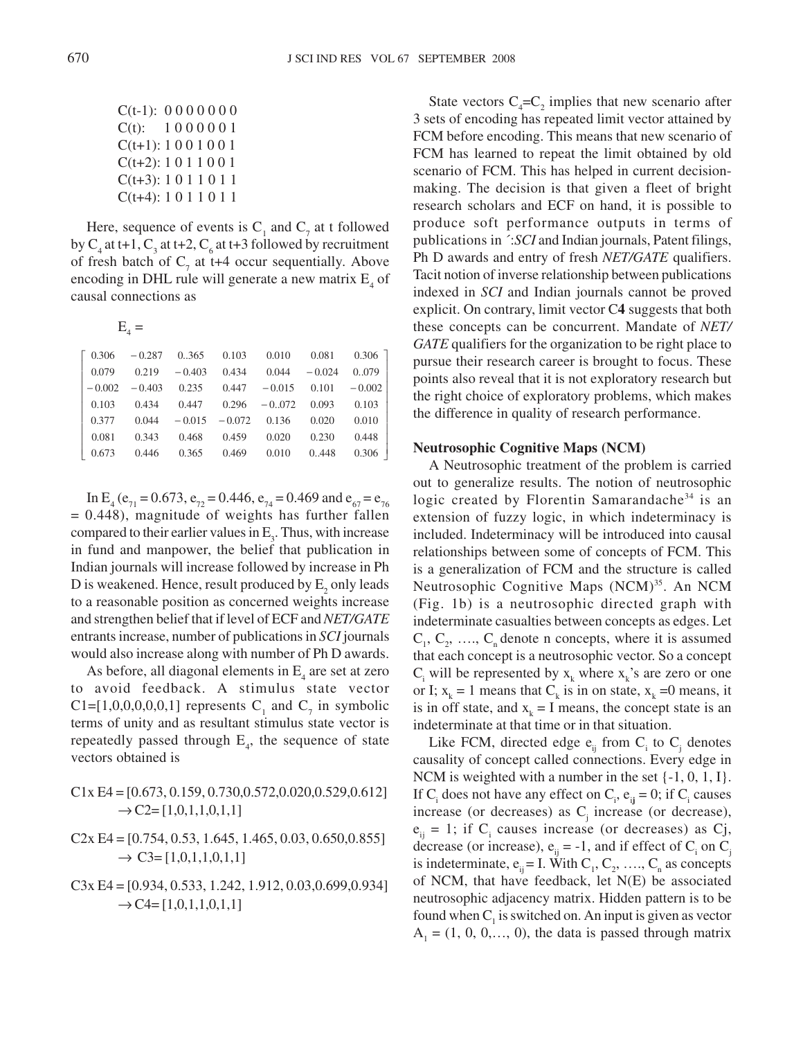| $C(t-1)$ : 0000000       |  |  |  |  |
|--------------------------|--|--|--|--|
| $C(t)$ : 1000001         |  |  |  |  |
| $C(t+1)$ : 1001001       |  |  |  |  |
| $C(t+2)$ : 1 0 1 1 0 0 1 |  |  |  |  |
| $C(t+3): 1 0 1 1 0 1 1$  |  |  |  |  |
| $C(t+4)$ : 1011011       |  |  |  |  |

Here, sequence of events is  $C_1$  and  $C_7$  at t followed by  $C_4$  at t+1,  $C_3$  at t+2,  $C_6$  at t+3 followed by recruitment of fresh batch of  $C_7$  at t+4 occur sequentially. Above encoding in DHL rule will generate a new matrix  $E_4$  of causal connections as

 $E_{4} =$ 

|       |  | $\begin{bmatrix} 0.306 & -0.287 & 0.365 & 0.103 & 0.010 & 0.081 & 0.306 \end{bmatrix}$ |  |
|-------|--|----------------------------------------------------------------------------------------|--|
|       |  | $0.079$ $0.219$ $-0.403$ $0.434$ $0.044$ $-0.024$ $0.079$                              |  |
|       |  | $-0.002$ $-0.403$ 0.235 0.447 $-0.015$ 0.101 $-0.002$                                  |  |
|       |  | $0.103$ $0.434$ $0.447$ $0.296$ $-0.072$ $0.093$ $0.103$                               |  |
|       |  | $0.377$ $0.044$ $-0.015$ $-0.072$ $0.136$ $0.020$ $0.010$                              |  |
| 0.081 |  | 0.343 0.468 0.459 0.020 0.230 0.448                                                    |  |
|       |  | $\begin{bmatrix} 0.673 & 0.446 & 0.365 & 0.469 & 0.010 & 0.448 & 0.306 \end{bmatrix}$  |  |

In E<sub>4</sub> ( $e_{71} = 0.673$ ,  $e_{72} = 0.446$ ,  $e_{74} = 0.469$  and  $e_{67} = e_{76}$  $= 0.448$ ), magnitude of weights has further fallen compared to their earlier values in  $E_3$ . Thus, with increase in fund and manpower, the belief that publication in Indian journals will increase followed by increase in Ph D is weakened. Hence, result produced by  $\mathsf{E}_{\mathsf{2}}$  only leads to a reasonable position as concerned weights increase and strengthen belief that if level of ECF and *NET/GATE* entrants increase, number of publications in *SCI* journals would also increase along with number of Ph D awards.

As before, all diagonal elements in  $E_4$  are set at zero to avoid feedback. A stimulus state vector C1=[1,0,0,0,0,0,1] represents  $C_1$  and  $C_7$  in symbolic terms of unity and as resultant stimulus state vector is repeatedly passed through  $E_4$ , the sequence of state vectors obtained is

# C1x E4 = [0.673, 0.159, 0.730,0.572,0.020,0.529,0.612]  $\rightarrow$  C2= [1,0,1,1,0,1,1]

- $C2x E4 = [0.754, 0.53, 1.645, 1.465, 0.03, 0.650, 0.855]$  $\rightarrow$  C3= [1,0,1,1,0,1,1]
- C3x E4 = [0.934, 0.533, 1.242, 1.912, 0.03,0.699,0.934]  $\rightarrow$  C4= [1,0,1,1,0,1,1]

State vectors  $C_4 = C_2$  implies that new scenario after 3 sets of encoding has repeated limit vector attained by FCM before encoding. This means that new scenario of FCM has learned to repeat the limit obtained by old scenario of FCM. This has helped in current decisionmaking. The decision is that given a fleet of bright research scholars and ECF on hand, it is possible to produce soft performance outputs in terms of publications in ´:*SCI* and Indian journals, Patent filings, Ph D awards and entry of fresh *NET/GATE* qualifiers. Tacit notion of inverse relationship between publications indexed in *SCI* and Indian journals cannot be proved explicit. On contrary, limit vector C**4** suggests that both these concepts can be concurrent. Mandate of *NET/ GATE* qualifiers for the organization to be right place to pursue their research career is brought to focus. These points also reveal that it is not exploratory research but the right choice of exploratory problems, which makes the difference in quality of research performance.

### **Neutrosophic Cognitive Maps (NCM)**

A Neutrosophic treatment of the problem is carried out to generalize results. The notion of neutrosophic logic created by Florentin Samarandache<sup>34</sup> is an extension of fuzzy logic, in which indeterminacy is included. Indeterminacy will be introduced into causal relationships between some of concepts of FCM. This is a generalization of FCM and the structure is called Neutrosophic Cognitive Maps (NCM)<sup>35</sup>. An NCM (Fig. 1b) is a neutrosophic directed graph with indeterminate casualties between concepts as edges. Let  $C_1, C_2, \ldots, C_n$  denote n concepts, where it is assumed that each concept is a neutrosophic vector. So a concept  $C_i$  will be represented by  $x_k$  where  $x_k$ 's are zero or one or I;  $x_k = 1$  means that  $C_k$  is in on state,  $x_k = 0$  means, it is in off state, and  $x_k = I$  means, the concept state is an indeterminate at that time or in that situation.

Like FCM, directed edge  $e_{ij}$  from  $C_i$  to  $C_j$  denotes causality of concept called connections. Every edge in NCM is weighted with a number in the set  $\{-1, 0, 1, I\}$ . If  $C_i$  does not have any effect on  $C_i$ ,  $e_{ij} = 0$ ; if  $C_i$  causes increase (or decreases) as  $C_j$  increase (or decrease),  $e_{ij} = 1$ ; if C<sub>i</sub> causes increase (or decreases) as Cj, decrease (or increase),  $e_{ij} = -1$ , and if effect of  $C_i$  on  $C_j$ is indeterminate,  $e_{ij} = I$ . With  $C_1, C_2, \ldots, C_n$  as concepts of NCM, that have feedback, let N(E) be associated neutrosophic adjacency matrix. Hidden pattern is to be found when  $C<sub>1</sub>$  is switched on. An input is given as vector  $A_1 = (1, 0, 0, \dots, 0)$ , the data is passed through matrix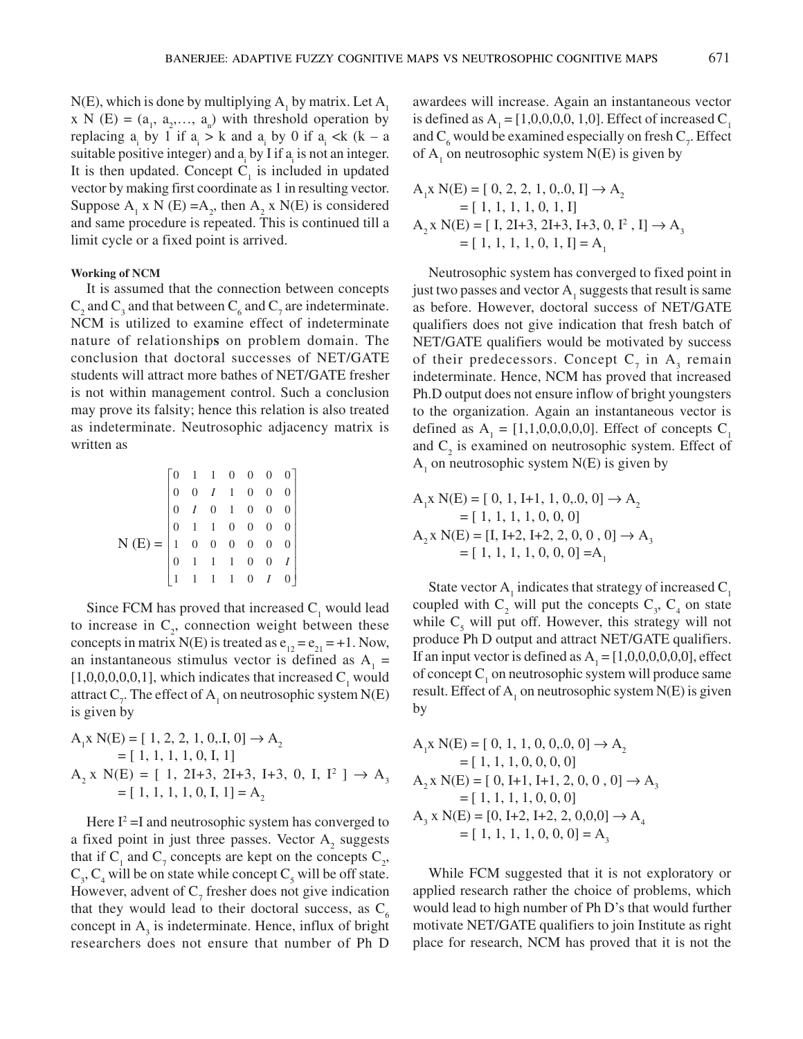N(E), which is done by multiplying  $A_1$  by matrix. Let  $A_1$  $x \in N$  (E) =  $(a_1, a_2,..., a_n)$  with threshold operation by replacing  $a_i$  by 1 if  $a_i > k$  and  $a_i$  by 0 if  $a_i < k$  (k – a suitable positive integer) and  $a_i$  by I if  $a_i$  is not an integer. It is then updated. Concept  $C<sub>1</sub>$  is included in updated vector by making first coordinate as 1 in resulting vector. Suppose  $A_1$  x N (E) =  $A_2$ , then  $A_2$  x N(E) is considered and same procedure is repeated. This is continued till a limit cycle or a fixed point is arrived.

### **Working of NCM**

It is assumed that the connection between concepts  $C_2$  and  $C_3$  and that between  $C_6$  and  $C_7$  are indeterminate. NCM is utilized to examine effect of indeterminate nature of relationship**s** on problem domain. The conclusion that doctoral successes of NET/GATE students will attract more bathes of NET/GATE fresher is not within management control. Such a conclusion may prove its falsity; hence this relation is also treated as indeterminate. Neutrosophic adjacency matrix is written as

$$
N(E) = \begin{bmatrix} 0 & 1 & 1 & 0 & 0 & 0 & 0 \\ 0 & 0 & I & 1 & 0 & 0 & 0 \\ 0 & I & 0 & 1 & 0 & 0 & 0 \\ 0 & 1 & 1 & 0 & 0 & 0 & 0 \\ 1 & 0 & 0 & 0 & 0 & 0 & 0 \\ 0 & 1 & 1 & 1 & 0 & 0 & I \\ 1 & 1 & 1 & 1 & 0 & I & 0 \end{bmatrix}
$$

Since FCM has proved that increased  $C_1$  would lead to increase in  $C_2$ , connection weight between these concepts in matrix N(E) is treated as  $e_{12} = e_{21} = +1$ . Now, an instantaneous stimulus vector is defined as  $A_1 =$ [1,0,0,0,0,0,1], which indicates that increased  $C_1$  would attract  $C_{\gamma}$ . The effect of  $A_1$  on neutrosophic system N(E) is given by

$$
A_1 \times N(E) = [1, 2, 2, 1, 0, I, 0] \rightarrow A_2
$$
  
= [1, 1, 1, 1, 0, I, 1]  

$$
A_2 \times N(E) = [1, 2I + 3, 2I + 3, I + 3, 0, I, I^2] \rightarrow A_3
$$
  
= [1, 1, 1, 1, 0, I, 1] =  $A_2$ 

Here  $I^2 = I$  and neutrosophic system has converged to a fixed point in just three passes. Vector  $A_2$  suggests that if  $C_1$  and  $C_7$  concepts are kept on the concepts  $C_2$ ,  $C_3$ ,  $C_4$  will be on state while concept  $C_5$  will be off state. However, advent of  $C_7$  fresher does not give indication that they would lead to their doctoral success, as  $C_6$ concept in  $A_3$  is indeterminate. Hence, influx of bright researchers does not ensure that number of Ph D awardees will increase. Again an instantaneous vector is defined as  $A_1 = [1, 0, 0, 0, 0, 1, 0]$ . Effect of increased  $C_1$ and  $C_6$  would be examined especially on fresh  $C_7$ . Effect of  $A_1$  on neutrosophic system N(E) is given by

$$
A_1 \times N(E) = [ 0, 2, 2, 1, 0, 0, I] \rightarrow A_2
$$
  
= [ 1, 1, 1, 1, 0, 1, I]  

$$
A_2 \times N(E) = [ I, 2I + 3, 2I + 3, I + 3, 0, I^2, I] \rightarrow A_3
$$
  
= [ 1, 1, 1, 1, 0, 1, I] = A<sub>1</sub>

Neutrosophic system has converged to fixed point in just two passes and vector  $A_1$  suggests that result is same as before. However, doctoral success of NET/GATE qualifiers does not give indication that fresh batch of NET/GATE qualifiers would be motivated by success of their predecessors. Concept  $C_7$  in  $A_3$  remain indeterminate. Hence, NCM has proved that increased Ph.D output does not ensure inflow of bright youngsters to the organization. Again an instantaneous vector is defined as  $A_1 = [1,1,0,0,0,0,0]$ . Effect of concepts  $C_1$ and  $C_2$  is examined on neutrosophic system. Effect of  $A_1$  on neutrosophic system N(E) is given by

$$
A_1 x N(E) = [ 0, 1, I+1, 1, 0, 0, 0] \rightarrow A_2
$$
  
= [ 1, 1, 1, 1, 0, 0, 0]  

$$
A_2 x N(E) = [I, I+2, I+2, 2, 0, 0, 0] \rightarrow A_3
$$
  
= [ 1, 1, 1, 1, 0, 0, 0] = $A_1$ 

State vector  $A_1$  indicates that strategy of increased  $C_1$ coupled with  $C_2$  will put the concepts  $C_3$ ,  $C_4$  on state while  $C_5$  will put off. However, this strategy will not produce Ph D output and attract NET/GATE qualifiers. If an input vector is defined as  $A_1 = [1, 0, 0, 0, 0, 0, 0]$ , effect of concept  $C_1$  on neutrosophic system will produce same result. Effect of  $A_1$  on neutrosophic system  $N(E)$  is given by

$$
A_1 x N(E) = [ 0, 1, 1, 0, 0, 0, 0 ] \rightarrow A_2
$$
  
= [ 1, 1, 1, 0, 0, 0, 0]  

$$
A_2 x N(E) = [ 0, I+1, I+1, 2, 0, 0, 0 ] \rightarrow A_3
$$
  
= [ 1, 1, 1, 1, 0, 0, 0]  

$$
A_3 x N(E) = [0, I+2, I+2, 2, 0, 0, 0 ] \rightarrow A_4
$$
  
= [ 1, 1, 1, 1, 0, 0, 0] = A<sub>3</sub>

While FCM suggested that it is not exploratory or applied research rather the choice of problems, which would lead to high number of Ph D's that would further motivate NET/GATE qualifiers to join Institute as right place for research, NCM has proved that it is not the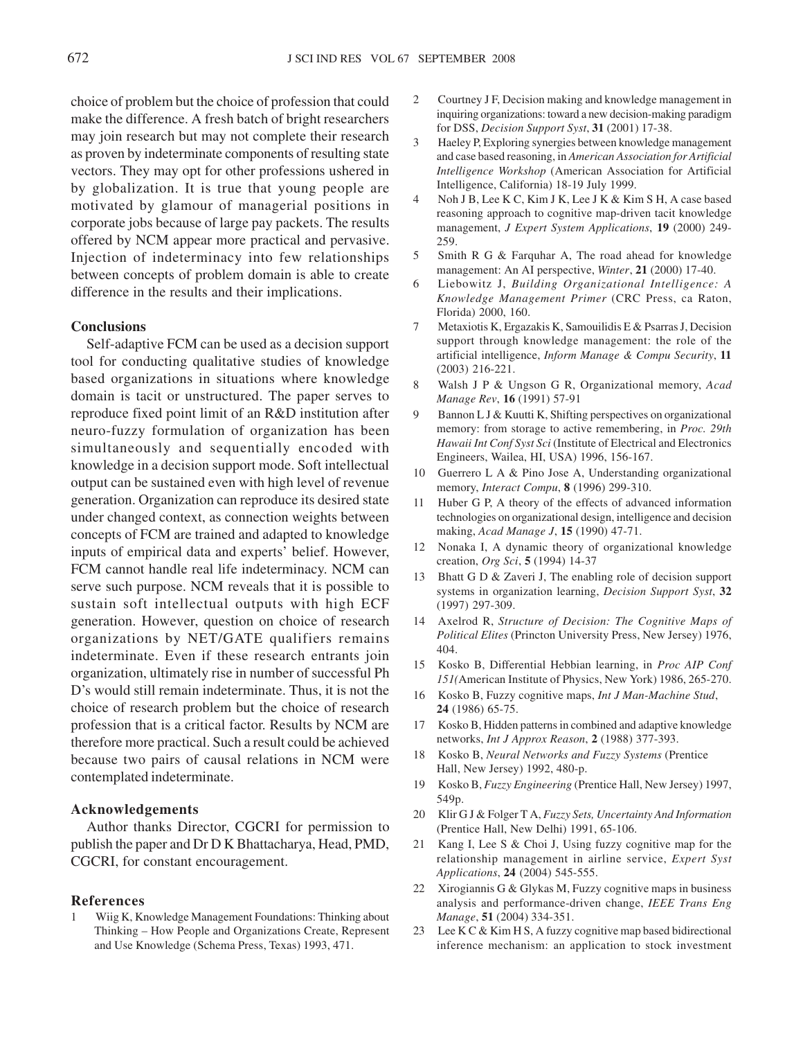choice of problem but the choice of profession that could make the difference. A fresh batch of bright researchers may join research but may not complete their research as proven by indeterminate components of resulting state vectors. They may opt for other professions ushered in by globalization. It is true that young people are motivated by glamour of managerial positions in corporate jobs because of large pay packets. The results offered by NCM appear more practical and pervasive. Injection of indeterminacy into few relationships between concepts of problem domain is able to create difference in the results and their implications.

## **Conclusions**

Self-adaptive FCM can be used as a decision support tool for conducting qualitative studies of knowledge based organizations in situations where knowledge domain is tacit or unstructured. The paper serves to reproduce fixed point limit of an R&D institution after neuro-fuzzy formulation of organization has been simultaneously and sequentially encoded with knowledge in a decision support mode. Soft intellectual output can be sustained even with high level of revenue generation. Organization can reproduce its desired state under changed context, as connection weights between concepts of FCM are trained and adapted to knowledge inputs of empirical data and experts' belief. However, FCM cannot handle real life indeterminacy. NCM can serve such purpose. NCM reveals that it is possible to sustain soft intellectual outputs with high ECF generation. However, question on choice of research organizations by NET/GATE qualifiers remains indeterminate. Even if these research entrants join organization, ultimately rise in number of successful Ph D's would still remain indeterminate. Thus, it is not the choice of research problem but the choice of research profession that is a critical factor. Results by NCM are therefore more practical. Such a result could be achieved because two pairs of causal relations in NCM were contemplated indeterminate.

### **Acknowledgements**

Author thanks Director, CGCRI for permission to publish the paper and Dr D K Bhattacharya, Head, PMD, CGCRI, for constant encouragement.

# **References**

Wiig K, Knowledge Management Foundations: Thinking about Thinking – How People and Organizations Create, Represent and Use Knowledge (Schema Press, Texas) 1993, 471.

- 2 Courtney J F, Decision making and knowledge management in inquiring organizations: toward a new decision-making paradigm for DSS, *Decision Support Syst*, **31** (2001) 17-38.
- 3 Haeley P, Exploring synergies between knowledge management and case based reasoning, in *American Association for Artificial Intelligence Workshop* (American Association for Artificial Intelligence, California) 18-19 July 1999.
- 4 Noh J B, Lee K C, Kim J K, Lee J K & Kim S H, A case based reasoning approach to cognitive map-driven tacit knowledge management, *J Expert System Applications*, **19** (2000) 249- 259.
- 5 Smith R G & Farquhar A, The road ahead for knowledge management: An AI perspective, *Winter*, **21** (2000) 17-40.
- 6 Liebowitz J, *Building Organizational Intelligence: A Knowledge Management Primer* (CRC Press, ca Raton, Florida) 2000, 160.
- 7 Metaxiotis K, Ergazakis K, Samouilidis E & Psarras J, Decision support through knowledge management: the role of the artificial intelligence, *Inform Manage & Compu Security*, **11** (2003) 216-221.
- 8 Walsh J P & Ungson G R, Organizational memory, *Acad Manage Rev*, **16** (1991) 57-91
- 9 Bannon L J & Kuutti K, Shifting perspectives on organizational memory: from storage to active remembering, in *Proc. 29th Hawaii Int Conf Syst Sci* (Institute of Electrical and Electronics Engineers, Wailea, HI, USA) 1996, 156-167.
- 10 Guerrero L A & Pino Jose A, Understanding organizational memory, *Interact Compu*, **8** (1996) 299-310.
- 11 Huber G P, A theory of the effects of advanced information technologies on organizational design, intelligence and decision making, *Acad Manage J*, **15** (1990) 47-71.
- 12 Nonaka I, A dynamic theory of organizational knowledge creation, *Org Sci*, **5** (1994) 14-37
- 13 Bhatt G D & Zaveri J, The enabling role of decision support systems in organization learning, *Decision Support Syst*, **32** (1997) 297-309.
- 14 Axelrod R, *Structure of Decision: The Cognitive Maps of Political Elites* (Princton University Press, New Jersey) 1976, 404.
- 15 Kosko B, Differential Hebbian learning, in *Proc AIP Conf 151(*American Institute of Physics, New York) 1986, 265-270.
- 16 Kosko B, Fuzzy cognitive maps, *Int J Man-Machine Stud*, **24** (1986) 65-75.
- 17 Kosko B, Hidden patterns in combined and adaptive knowledge networks, *Int J Approx Reason*, **2** (1988) 377-393.
- 18 Kosko B, *Neural Networks and Fuzzy Systems* (Prentice Hall, New Jersey) 1992, 480-p.
- 19 Kosko B, *Fuzzy Engineering* (Prentice Hall, New Jersey) 1997, 549p.
- 20 Klir G J & Folger T A, *Fuzzy Sets, Uncertainty And Information* (Prentice Hall, New Delhi) 1991, 65-106.
- 21 Kang I, Lee S & Choi J, Using fuzzy cognitive map for the relationship management in airline service, *Expert Syst Applications*, **24** (2004) 545-555.
- 22 Xirogiannis G & Glykas M, Fuzzy cognitive maps in business analysis and performance-driven change, *IEEE Trans Eng Manage*, **51** (2004) 334-351.
- 23 Lee K C & Kim H S, A fuzzy cognitive map based bidirectional inference mechanism: an application to stock investment